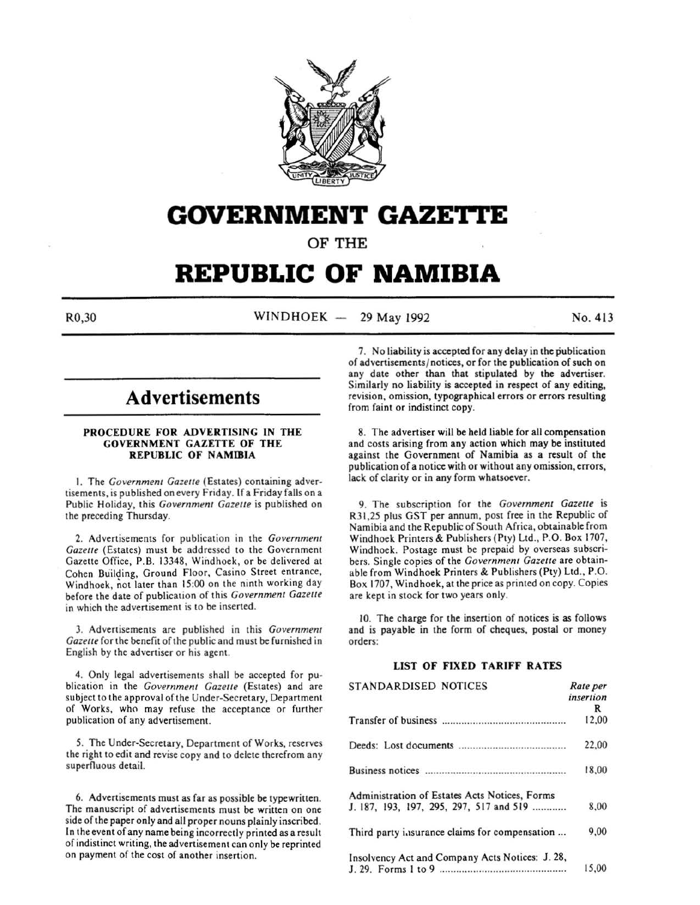

# **GOVERNMENT GAZE'ri'E**

OF THE

# **REPUBLIC OF NAMIBIA**

R0,30 WINDHOEK - 29 May 1992 No. 413

# **Advertisements**

#### PROCEDURE FOR ADVERTISING IN THE GOVERNMENT GAZETTE OF THE REPUBLIC OF NAMIBIA

I. The *Government Gazelle* (Estates) containing advertisements, is published on every Friday. If a Friday falls on a Public Holiday, this *Government Gazelle* is published on the preceding Thursday.

2. Advertisements for publication in the *Government Gazelle* (Estates) must be addressed to the Government Gazette Office, P.B. 13348, Windhoek , or be delivered at Cohen Building, Ground Floor, Casino Street entrance, Windhoek, not later than 15:00 on the ninth working day before the date of publication of this *Government Gazelle*  in which the advertisement is to be inserted.

3. Advertisements are published in this *Government Gazelle* for the benefit of the public and must be furnished in English by the advertiser or his agent.

4. Only legal advertisements shall be accepted for publication in the *Government Gazelle* (Estates) and are subject to the approval of the Under-Secretary, Department of Works, who may refuse the acceptance or further publication of any advertisement.

*5.* The Under-Secretary, Department of Works, reserves the right to edit and revise copy and to delete therefrom any superfluous detail.

6. Advertisements must as far as possible be typewritten. The manuscript of advertisements must be written on one side of the paper only and all proper nouns plainly inscribed . In the event of any name being incorrectly printed as a result of indistinct writing, the advertisement can only be reprinted on payment of the cost of another insertion.

7. No liability is accepted for any delay in the publication of advertisements/ notices, or for the publication of such on any date other than that stipulated by the advertiser. Similarly no liability is accepted in respect of any editing, revision, omission, typographical errors or errors resulting from faint or indistinct copy.

8. The advertiser will be held liable for all compensation and costs arising from any action which may be instituted against the Government of Namibia as a result of the publication of a notice with or without any omission, errors, lack of clarity or in any form whatsoever.

9. The subscription for the *Government Gazelle* is R31 ,25 plus GST per annum, post free in the Republic of Namibia and the Republic of South Africa, obtainable from Windhoek Printers & Publishers (Pty) Ltd., P.O. Box 1707, Windhoek. Postage must be prepaid by overseas subscribers. Single copies of the *Government Gazette* are obtainable from Windhoek Printers & Publishers (Pty) Ltd., P.O. Box 1707, Windhoek, at the price as printed on copy. Copies are kept in stock for two years only.

10. The charge for the insertion of notices is as follows and is payable in the form of cheques, postal or money orders:

# LIST OF FIXED TARIFF RATES

| STANDARDISED NOTICES                            | Rate per<br>insertion |
|-------------------------------------------------|-----------------------|
|                                                 | R                     |
|                                                 | 12.00                 |
|                                                 | 22,00                 |
|                                                 | 18.00                 |
| Administration of Estates Acts Notices, Forms   |                       |
| J. 187, 193, 197, 295, 297, 517 and 519         | 8.00                  |
| Third party insurance claims for compensation   | 9,00                  |
| Insolvency Act and Company Acts Notices: J. 28, |                       |
|                                                 | 15,00                 |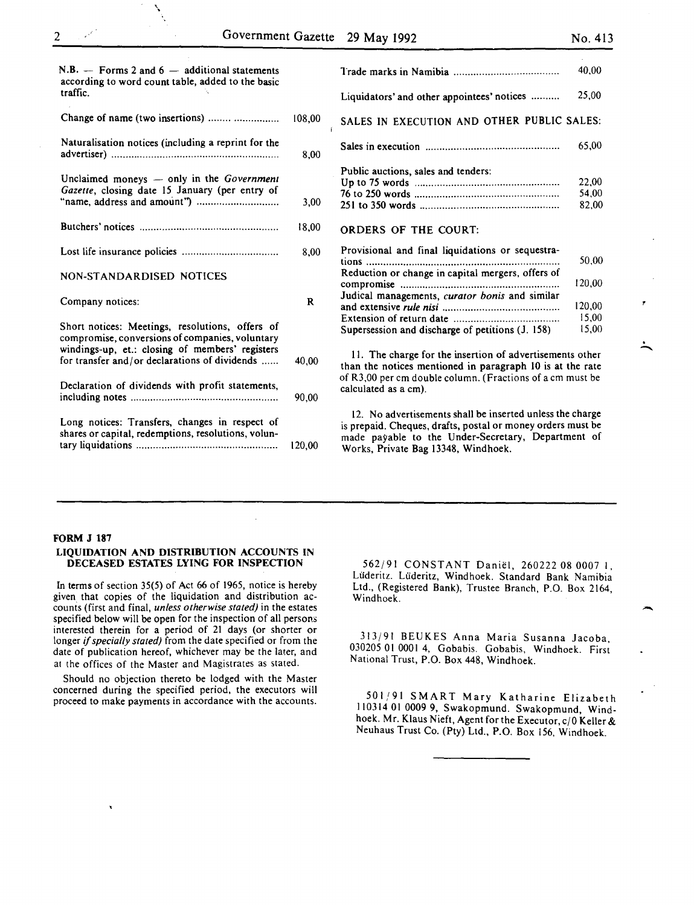| $N.B. -$ Forms 2 and 6 $-$ additional statements<br>according to word count table, added to the basic<br>traffic.                                     |        |
|-------------------------------------------------------------------------------------------------------------------------------------------------------|--------|
| Change of name (two insertions)                                                                                                                       | 108,00 |
| Naturalisation notices (including a reprint for the                                                                                                   | 8,00   |
| Unclaimed moneys - only in the Government<br>Gazette, closing date 15 January (per entry of                                                           | 3,00   |
|                                                                                                                                                       | 18,00  |
|                                                                                                                                                       | 8.00   |
| NON-STANDARDISED NOTICES                                                                                                                              |        |
| Company notices:                                                                                                                                      | R      |
| Short notices: Meetings, resolutions, offers of<br>compromise, conversions of companies, voluntary<br>windings-up, et.: closing of members' registers |        |
| for transfer and/or declarations of dividends                                                                                                         | 40,00  |
| Declaration of dividends with profit statements,                                                                                                      | 90.00  |
| Long notices: Transfers, changes in respect of<br>shares or capital, redemptions, resolutions, volun-                                                 |        |

\

| ____ | _____ | ____ |
|------|-------|------|
|      |       |      |
|      |       |      |
|      |       |      |
|      |       |      |
|      |       |      |
|      |       |      |
|      |       |      |
|      |       |      |
|      |       |      |

.<br>.<br>. **-**

|                                                               | 40.00  |
|---------------------------------------------------------------|--------|
| Liquidators' and other appointees' notices                    | 25,00  |
| SALES IN EXECUTION AND OTHER PUBLIC SALES:                    |        |
|                                                               | 65,00  |
| Public auctions, sales and tenders:                           |        |
|                                                               | 22,00  |
|                                                               | 54,00  |
|                                                               | 82,00  |
| <b>ORDERS OF THE COURT:</b>                                   |        |
| Provisional and final liquidations or sequestra-              |        |
|                                                               | 50.00  |
| Reduction or change in capital mergers, offers of             |        |
| compromise                                                    | 120,00 |
| Judical managements, curator bonis and similar                |        |
|                                                               | 120,00 |
|                                                               | 15,00  |
|                                                               |        |
| Supersession and discharge of petitions (J. 158)              | 15,00  |
| 11. The charge for the insertion of advertisements other      |        |
| ation at a constant model in the companies to the same to the |        |

than the notices mentioned in paragraph 10 is at the rate of R3,00 per em double column. (Fractions of a em must be calculated as a em).

12. No advertisements shall be inserted unless the charge is prepaid. Cheques, drafts, postal or money orders must be made payable to the Under-Secretary, Department of Works, Private Bag 13348, Windhoek.

# FORM J 187

 $\ddot{\phantom{0}}$ 

#### LIQUIDATION AND DISTRIBUTION ACCOUNTS IN DECEASED ESTATES LYING FOR INSPECTION

tary liquidations .................................................. 120,00

In terms of section 35(5) of Act 66 of 1965, notice is hereby given that copies of the liquidation and distribution accounts (first and final, *unless otherwise stated)* in the estates specified below will be open for the inspection of all persons interested therein for a period of 21 days (or shorter or longer if *specially stated)* from the date specified or from the date of publication hereof, whichever may be the later, and at the offices of the Master and Magistrates as stated.

Should no objection thereto be lodged with the Master concerned during the specified period, the executors will proceed to make payments in accordance with the accounts.

562/91 CONSTANT Daniel, 260222 08 0007 I, Luderitz. Luderitz, Windhoek. Standard Bank Namibia Ltd., (Registered Bank), Trustee Branch, P.O. Box 2164, Windhoek.

313/91 BEUKES Anna Maria Susanna Jacoba, 030205 01 0001 4, Gobabis. Gobabis, Windhoek. First National Trust, P.O. Box 448, Windhoek.

501,'91 SMART Mary Katharine Elizabeth 110314 01 0009 9, Swakopmund. Swakopmund, Windhoek. Mr. Klaus Nieft, Agent for the Executor, c/0 Keller & Neuhaus Trust Co. (Pty) Ltd., P.O. Box 156, Windhoek.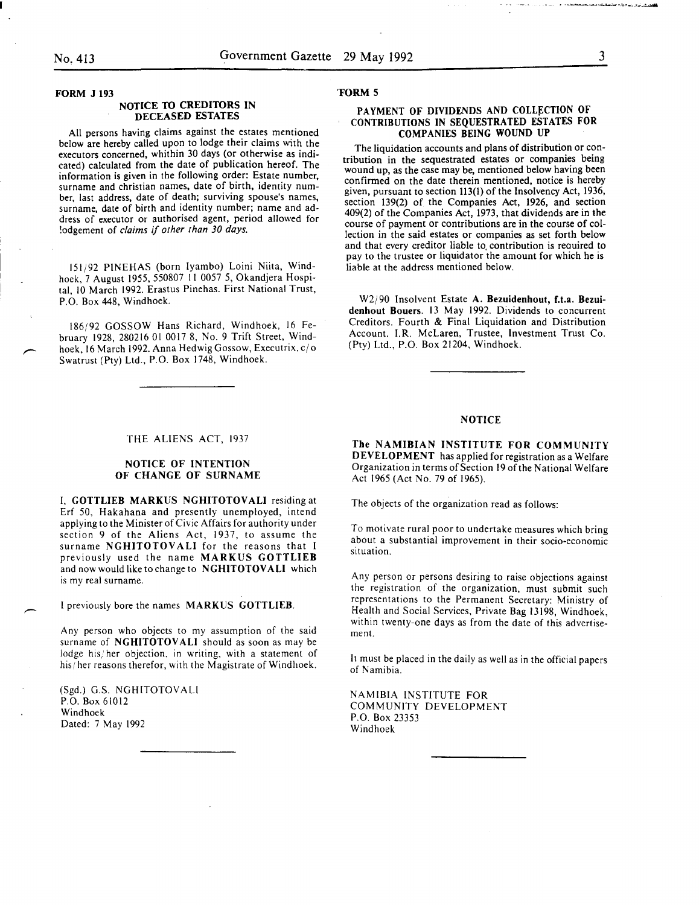FORM J 193

# NOTICE TO CREDITORS IN DECEASED ESTATES

All persons having claims against the estates mentioned below are hereby called upon to lodge their claims with the executors concerned, whithin 30 days (or otherwise as indicated) calculated from the date of publication hereof. The information is given in the following order: Estate number, surname and christian names, date of birth, identity number, last address, date of death; surviving spouse's names, surname, date of birth and identity number; name and address of' executor or authorised agent, period allowed for !odgement of *claims* if *other than 30 days.* 

151/92 PINEHAS (born Iyambo) Loini Niita, Windhoek, 7 August 1955, 550807 11 0057 5, Okandiera Hospital, 10 March 1992. Erastus Pinehas. First National Trust, P.O. Box 448, Windhoek.

186/92 GOSSOW Hans Richard, Windhoek, 16 February 1928, 280216 01 0017 8, No. 9 Trift Street, Windhoek, 16 March 1992. Anna Hedwig Gossow, Executrix, c/o Swatrust (Pty) Ltd., P.O. Box 1748, Windhoek.

#### THE ALIENS ACT, 1937

# NOTICE OF INTENTION OF CHANGE OF SURNAME

I, GOTTLIEB MARKUS NGHITOTOVALI residing at Erf 50, Hakahana and presently unemployed, intend applying to the Minister of Civic Affairs for authority under section 9 of the Aliens Act, 1937, to assume the surname NGHITOTOVALI for the reasons that I previously used the name MARKUS GOTTLIEB and now would like to change to NGHITOTOVALI which is my real surname.

I previously bore the names MARKUS GOTTLIEB.

Any person who objects to my assumption of the said surname of NGHITOTOVALI should as soon as may be lodge his; her objection, in writing, with a statement of his/ her reasons therefor, with the Magistrate of Windhoek.

(Sgd.) G.S. NGHITOTOVALI P.O. Box 61012 Windhoek Dated: 7 May 1992

#### 'FORM 5

# PAYMENT OF DIVIDENDS AND COLLECTION OF CONTRIBUTIONS IN SEQUESTRATED ESTATES FOR COMPANIES BEING WOUND UP

The liquidation accounts and plans of distribution or contribution in the sequestrated estates or companies being wound up, as the case may be, mentioned below having been confirmed on the date therein mentioned, notice is hereby given, pursuant to section 113(1) of the Insolvency Act, 1936, section  $139(2)$  of the Companies Act, 1926, and section  $409(2)$  of the Companies Act, 1973, that dividends are in the course of payment or contributions are in the course of collection in the said estates or companies as set forth below and that every creditor liable to contribution is required to pay to the trustee or liquidator the amount for which he is liable at the address mentioned below.

W2j90 Insolvent Estate A. Bezuidenhout, f.t.a. Bezuidenhout Bouers. 13 May 1992. Dividends to concurrent Creditors. Fourth & Final Liquidation and Distribution Account. I.R. McLaren, Trustee, Investment Trust Co. (Pty) Ltd., P.O. Box 21204, Windhoek.

#### NOTICE

The NAMIBIAN INSTITUTE FOR COMMUNITY DEVELOPMENT has applied for registration as a Welfare Organization in terms of Section 19 of the National Welfare Act 1965 (Act No. 79 of 1965).

The objects of the organization read as follows:

To motivate rural poor to undertake measures which bring about a substantial improvement in their socio-economic situation.

Any person or persons desiring to raise objections against the registration of the organization, must submit such representations to the Permanent Secretary: Ministry of Health and Social Services, Private Bag 13198, Windhoek, within twenty-one days as from the date of this advertisement.

It must be placed in the daily as well as in the official papers of Namibia.

NAMIBIA INSTITUTE FOR COMMUNITY DEVELOPMENT P.O. Box 23353 Windhoek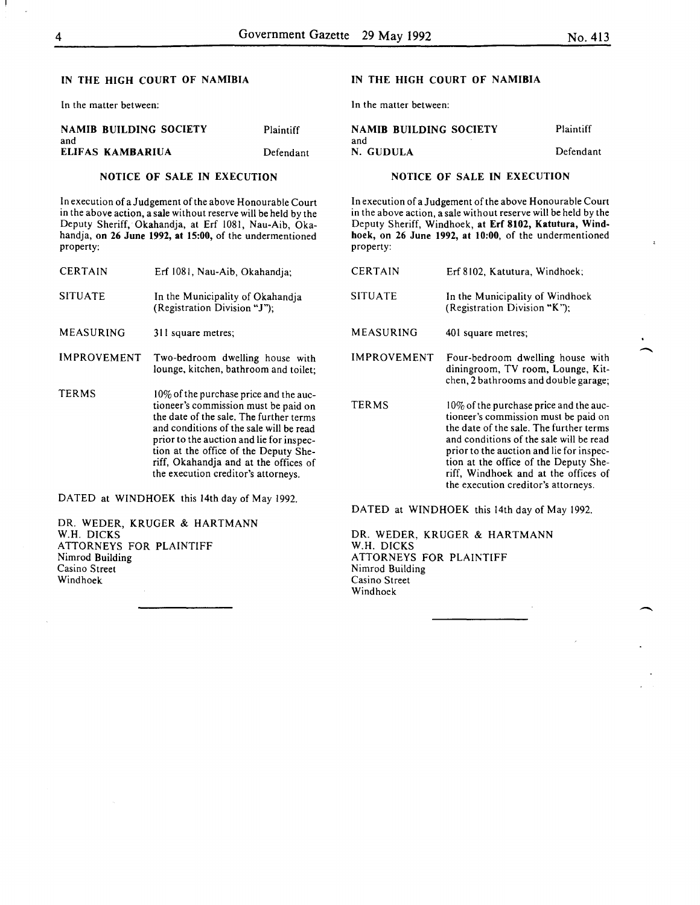-

# IN THE HIGH COURT OF NAMIBIA

In the matter between:

|     | <b>NAMIB BUILDING SOCIETY</b> | Plaintiff |
|-----|-------------------------------|-----------|
| and |                               |           |
|     | ELIFAS KAMBARIUA              | Defendant |

# NOTICE OF SALE IN EXECUTION

In execution of a Judgement of the above Honourable Court in the above action, a sale without reserve will be held by the Deputy Sheriff, Okahandja, at Erf 1081, Nau-Aib, Okahandja, on 26 June 1992, at 15:00, of the undermentioned property:

| <b>CERTAIN</b>     | Erf 1081, Nau-Aib, Okahandia:                                                                                                                                                                                                                                                                                                             |
|--------------------|-------------------------------------------------------------------------------------------------------------------------------------------------------------------------------------------------------------------------------------------------------------------------------------------------------------------------------------------|
| <b>SITUATE</b>     | In the Municipality of Okahandja<br>(Registration Division "J");                                                                                                                                                                                                                                                                          |
| MEASURING          | 311 square metres;                                                                                                                                                                                                                                                                                                                        |
| <b>IMPROVEMENT</b> | Two-bedroom dwelling house with<br>lounge, kitchen, bathroom and toilet:                                                                                                                                                                                                                                                                  |
| TERMS              | 10% of the purchase price and the auc-<br>tioneer's commission must be paid on<br>the date of the sale. The further terms<br>and conditions of the sale will be read<br>prior to the auction and lie for inspec-<br>tion at the office of the Deputy She-<br>riff, Okahandja and at the offices of<br>the execution creditor's attorneys. |

DATED at WINDHOEK this 14th day of May 1992.

DR. WEDER, KRUGER & HARTMANN W.H. DICKS ATTORNEYS FOR PLAINTIFF Nimrod Building Casino Street Windhoek

# IN THE HIGH COURT OF NAMIBIA

In the matter between:

| <b>NAMIB BUILDING SOCIETY</b> | Plaintiff |
|-------------------------------|-----------|
| and                           |           |
| N. GUDULA                     | Defendant |

# NOTICE OF SALE IN EXECUTION

In execution of a Judgement of the above Honourable Court in the above action, a sale without reserve will be held by the Deputy Sheriff, Windhoek, at Erf 8102, Katutura, Windhoek, on 26 June 1992, at 10:00, of the undermentioned property:

| <b>CERTAIN</b>                               | Erf 8102. Katutura. Windhoek:                                                                                                                                                                                                                                                                                                               |  |
|----------------------------------------------|---------------------------------------------------------------------------------------------------------------------------------------------------------------------------------------------------------------------------------------------------------------------------------------------------------------------------------------------|--|
| <b>SITUATE</b>                               | In the Municipality of Windhoek<br>(Registration Division "K");                                                                                                                                                                                                                                                                             |  |
| MEASURING                                    | 401 square metres;                                                                                                                                                                                                                                                                                                                          |  |
| IMPROVEMENT                                  | Four-bedroom dwelling house with<br>diningroom, TV room, Lounge, Kit-<br>chen, 2 bathrooms and double garage;                                                                                                                                                                                                                               |  |
| <b>TERMS</b>                                 | $10\%$ of the purchase price and the auc-<br>tioneer's commission must be paid on<br>the date of the sale. The further terms<br>and conditions of the sale will be read<br>prior to the auction and lie for inspec-<br>tion at the office of the Deputy She-<br>riff, Windhoek and at the offices of<br>the execution creditor's attorneys. |  |
| DATED at WINDHOEK this 14th day of May 1992. |                                                                                                                                                                                                                                                                                                                                             |  |

DR. WEDER, KRUGER & HARTMANN W.H. DICKS ATTORNEYS FOR PLAINTIFF Nimrod Building Casino Street Windhoek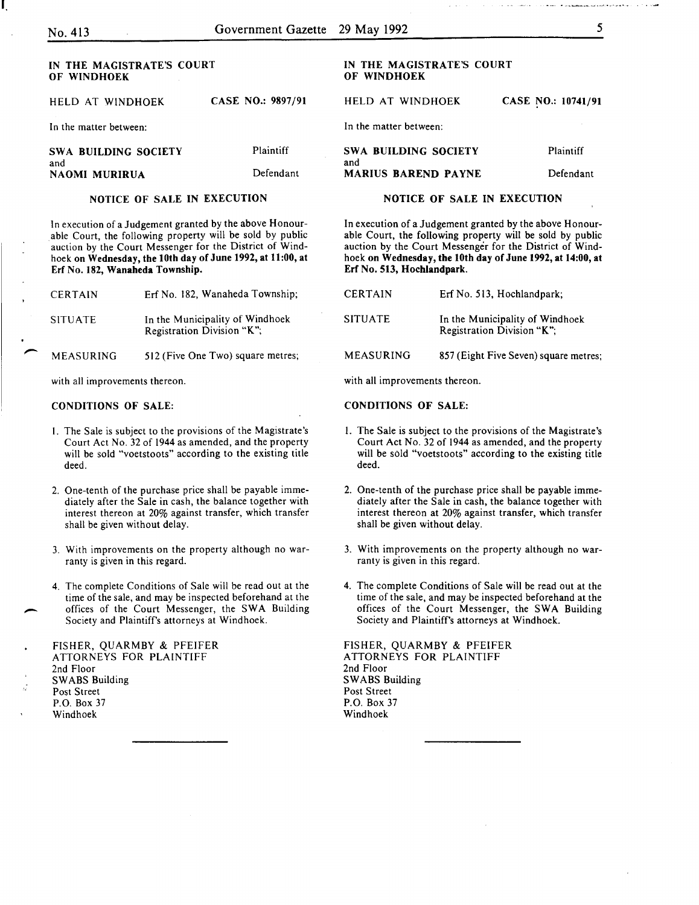I.

| IN THE MAGISTRATE'S COURT<br>OF WINDHOEK |                   | IN THE MAGISTRATE'S COURT<br>OF WINDHOEK |           |
|------------------------------------------|-------------------|------------------------------------------|-----------|
| HELD AT WINDHOEK                         | CASE NO.: 9897/91 | HELD AT WINDHOEK                         | CASE NO.: |
| In the matter between:                   |                   | In the matter between:                   |           |
| SWA BUILDING SOCIETY<br>and              | Plaintiff         | SWA BUILDING SOCIETY<br>and              | PI:       |
| NAOMI MURIRUA                            | Defendant         | <b>MARIUS BAREND PAYNE</b>               | Dε        |
|                                          |                   |                                          |           |

# NOTICE OF SALE IN EXECUTION

In execution of a Judgement granted by the above Honourable Court, the following property will be sold by public auction by the Court Messenger for the District of Windhoek on Wednesday, the lOth day of June 1992, at 11:00, at Erf No. 182, Wanaheda Township.

| <b>CERTAIN</b>   | Erf No. 182, Wanaheda Township;                               |
|------------------|---------------------------------------------------------------|
| <b>SITUATE</b>   | In the Municipality of Windhoek<br>Registration Division "K"; |
| <b>MEASURING</b> | 512 (Five One Two) square metres;                             |

with all improvements thereon.

## CONDITIONS OF SALE:

- I. The Sale is subject to the provisions of the Magistrate's Court Act No. 32 of 1944 as amended, and the property will be sold "voetstoots" according to the existing title deed.
- 2. One-tenth of the purchase price shall be payable immediately after the Sale in cash, the balance together with interest thereon at 20% against transfer, which transfer shall be given without delay.
- 3. With improvements on the property although no warranty is given in this regard.
- 4. The complete Conditions of Sale will be read out at the time of the sale, and may be inspected beforehand at the offices of the Court Messenger, the SWA Building Society and Plaintiffs attorneys at Windhoek.

| FISHER, QUARMBY & PFEIFER |
|---------------------------|
| ATTORNEYS FOR PLAINTIFF   |
| 2nd Floor                 |
| <b>SWABS Building</b>     |
| Post Street               |
| P.O. Box 37               |
| Windhoek                  |

# IN THE MAGISTRATE'S COURT

# 10741/91

| <b>SWA BUILDING SOCIETY</b><br>and | <b>Plaintiff</b> |
|------------------------------------|------------------|
| <b>MARIUS BAREND PAYNE</b>         | Defendant        |

# NOTICE OF SALE IN EXECUTION

In execution of a Judgement granted by the above Honourable Court, the following property will be sold by public auction by the Court Messenger for the District of Windhoek on Wednesday, the lOth day of June 1992, at 14:00, at Erf No. 513, Hochlandpark.

| <b>CERTAIN</b> | Erf No. 513, Hochlandpark;                                    |
|----------------|---------------------------------------------------------------|
| <b>SITUATE</b> | In the Municipality of Windhoek<br>Registration Division "K"; |
| MEASURING      | 857 (Eight Five Seven) square metres;                         |

with all improvements thereon.

# CONDITIONS OF SALE:

- I. The Sale is subject to the provisions of the Magistrate's Court Act No. 32 of 1944 as amended, and the property will be sold "voetstoots" according to the existing title deed.
- 2. One-tenth of the purchase price shall be payable immediately after the Sale in cash, the balance together with interest thereon at 20% against transfer, which transfer shall be given without delay.
- 3. With improvements on the property although no warranty is given in this regard.
- 4. The complete Conditions of Sale will be read out at the time of the sale, and may be inspected beforehand at the offices of the Court Messenger, the SWA Building Society and Plaintiffs attorneys at Windhoek.

FISHER, QUARMBY & PFEIFER ATTORNEYS FOR PLAINTIFF 2nd Floor SWABS Building Post Street P.O. Box 37 Windhoek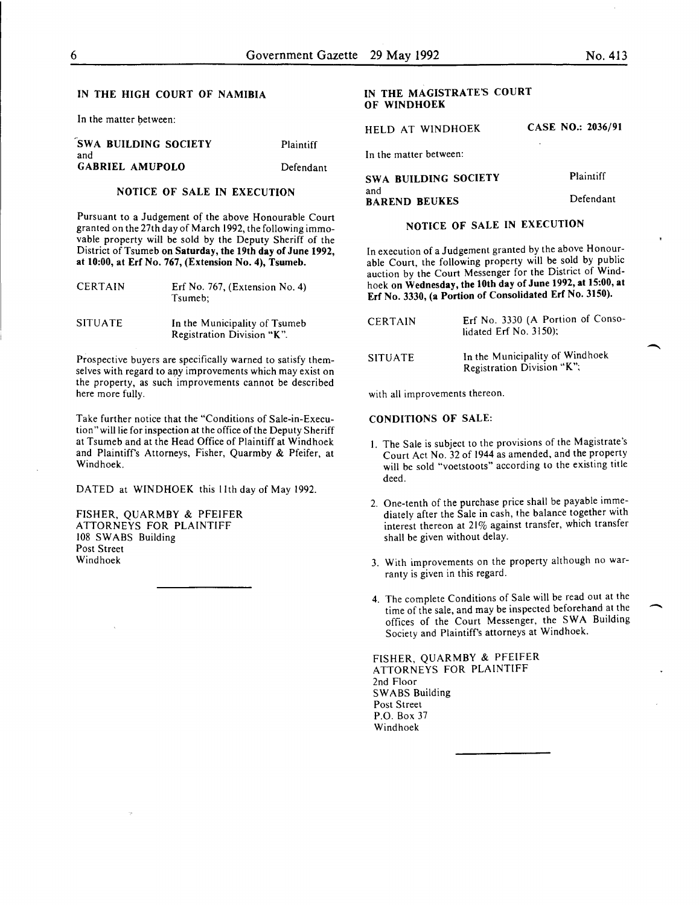#### IN THE HIGH COURT OF NAMIBIA

In the matter between:

| <b>SWA BUILDING SOCIETY</b>   | <b>Plaintiff</b> |
|-------------------------------|------------------|
| and<br><b>GABRIEL AMUPOLO</b> | Defendant        |
|                               |                  |

# NOTICE OF SALE IN EXECUTION

Pursuant to a Judgement of the above Honourable Court granted on the 27th day of March 1992, the following immovable property will be sold by the Deputy Sheriff of the District of Tsumeb on Saturday, the 19th day of June 1992, at 10:00, at Erf No. 767, (Extension No.4), Tsumeb.

| CERTAIN        | Erf No. 767, (Extension No. 4)<br>Tsumeb:                   |
|----------------|-------------------------------------------------------------|
| <b>SITUATE</b> | In the Municipality of Tsumeb<br>Registration Division "K". |

Prospective buyers are specifically warned to satisfy themselves with regard to any improvements which may exist on the property, as such improvements cannot be described here more fully.

Take further notice that the "Conditions of Sale-in-Execution" will lie for inspection at the office of the Deputy Sheriff at Tsumeb and at the Head Office of Plaintiff at Windhoek and Plaintiffs Attorneys, Fisher, Quarmby & Pfeifer, at Windhoek.

DATED at WINDHOEK this lith day of May 1992.

FISHER, QUARMBY & PFEIFER ATTORNEYS FOR PLAINTIFF 108 SWABS Building Post Street Windhoek

# IN THE MAGISTRATE'S COURT OF WINDHOEK

HELD AT WINDHOEK CASE NO.: 2036/91

In the matter between:

| SWA BUILDING SOCIETY        | Plaintiff |
|-----------------------------|-----------|
| and<br><b>BAREND BEUKES</b> | Defendant |

# NOTICE OF SALE IN EXECUTION

In execution of a Judgement granted by the above Honourable Court, the following property will be sold by public auction by the Court Messenger for the District of Windhoek on Wednesday, the lOth day of June 1992, at 15:00, at Erf No. 3330, (a Portion of Consolidated Erf No. 3150).

| CERTAIN | Erf No. 3330 (A Portion of Conso-<br>lidated Erf No. $3150$ : |
|---------|---------------------------------------------------------------|
| SITUATE | In the Municipality of Windhoek<br>Registration Division "K"; |

with all improvements thereon.

#### CONDITIONS OF SALE:

- I. The Sale is subject to the provisions of the Magistrate's Court Act No. 32 of 1944 as amended, and the property will be sold "voetstoots" according to the existing title deed.
- 2. One-tenth of the purchase price shall be payable immediately after the Sale in cash, the balance together with interest thereon at 21% against transfer, which transfer shall be given without delay.
- 3. With improvements on the property although no warranty is given in this regard.
- 4. The complete Conditions of Sale will be read out at the time of the sale, and may be inspected beforehand at the offices of the Court Messenger, the SWA Building Society and Plaintiff's attorneys at Windhoek.

FISHER, QUARMBY & PFEIFER ATTORNEYS FOR PLAINTIFF 2nd Floor SWABS Building Post Street P.O. Box 37 Windhoek

 $\overline{\phantom{a}}$ 

-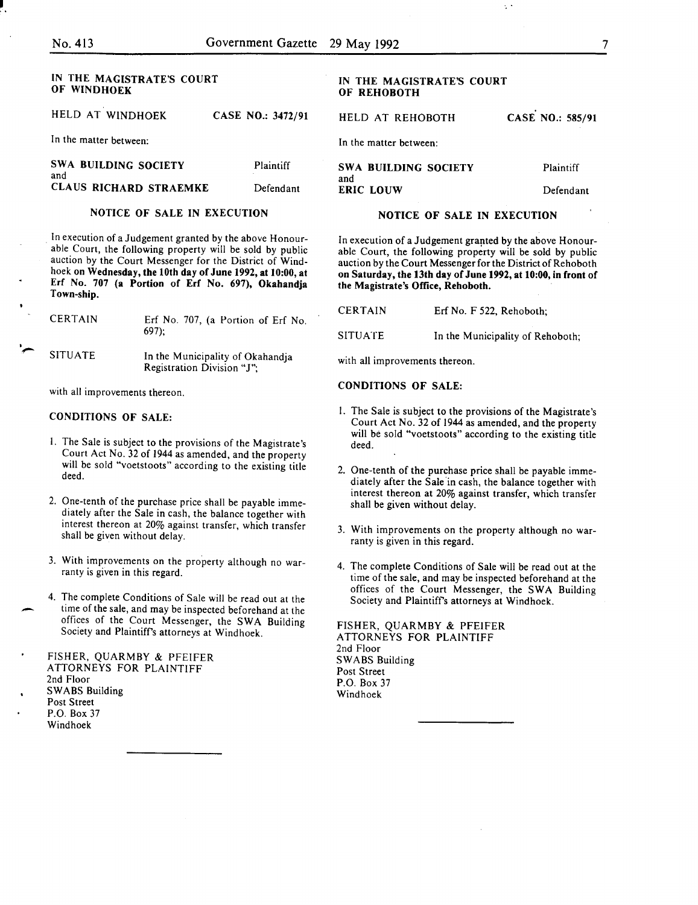#### IN THE MAGISTRATE'S COURT OF WINDHOEK HELD AT WINDHOEK CASE NO.: 3472/91 In the matter between: SWA BUILDING SOCIETY and CLAUS RICHARD STRAEMKE Plaintiff Defendant NOTICE OF SALE IN EXECUTION IN THE MAGISTRATE'S COURT OF REHOBOTH HELD AT REHOBOTH In the matter between: SWA BUILDING SOCIETY and ERIC LOUW CASE NO.: 585/91 Plaintiff Defendant NOTICE OF SALE IN EXECUTION

In execution of a Judgement granted by the above Honourable Court, the following property will be sold by public auction by the Court Messenger for the District of Windhoek on Wednesday, the lOth day of June 1992, at 10:00, at Erf No. 707 (a Portion of Erf No. 697), Okahandja Town-ship.

| <b>CERTAIN</b> | Erf No. 707, (a Portion of Erf No.<br>$697$ :                  | --  |
|----------------|----------------------------------------------------------------|-----|
| <b>SITUATE</b> | In the Municipality of Okahandia<br>Registration Division "J"; | wii |

with all improvements thereon.

# CONDITIONS OF SALE:

- I. The Sale is subject to the provisions of the Magistrate's Court Act No. 32 of 1944 as amended, and the property will be sold "voetstoots" according to the existing title deed.
- 2. One-tenth of the purchase price shall be payable immediately after the Sale in cash, the balance together with interest thereon at 20% against transfer, which transfer shall be given without delay.
- 3. With improvements on the property although no warranty is given in this regard.
- 4. The complete Conditions of Sale will be read out at the time of the sale, and may be inspected beforehand at the offices of the Court Messenger, the SWA Building Society and Plaintiffs attorneys at Windhoek.
- FISHER, QUARMBY & PFEIFER ATTORNEYS FOR PLAINTIFF 2nd Floor SWABS Building
- Post Street
- P.O. Box 37
	- Windhoek

In execution of a Judgement granted by the above Honourable Court, the following property will be sold by public auction by the Court Messenger for the District of Rehoboth on Saturday, the 13th day of June 1992, at 10:00, in front of the Magistrate's Office, Rehoboth.

 $\ddot{\phantom{0}}$  .

| <b>CERTAIN</b> | Erf No. F 522, Rehoboth;         |
|----------------|----------------------------------|
| <b>SITUATE</b> | In the Municipality of Rehoboth; |

th all improvements thereon.

# CONDITIONS OF SALE:

- I. The Sale is subject to the provisions of the Magistrate's Court Act No. 32 of 1944 as amended, and the property will be sold "voetstoots" according to the existing title deed.
- 2. One-tenth of the purchase price shall be payable immediately after the Sale in cash, the balance together with interest thereon at 20% against transfer, which transfer shall be given without delay.
- 3. With improvements on the property although no warranty is given in this regard.
- 4. The complete Conditions of Sale will be read out at the time of the sale, and may be inspected beforehand at the offices of the Court Messenger, the SWA Building Society and Plaintiffs attorneys at Windhoek.

FISHER, QUARMBY & PFEIFER ATTORNEYS FOR PLAINTIFF 2nd Floor SWABS Building Post Street P.O. Box 37 Windhoek

7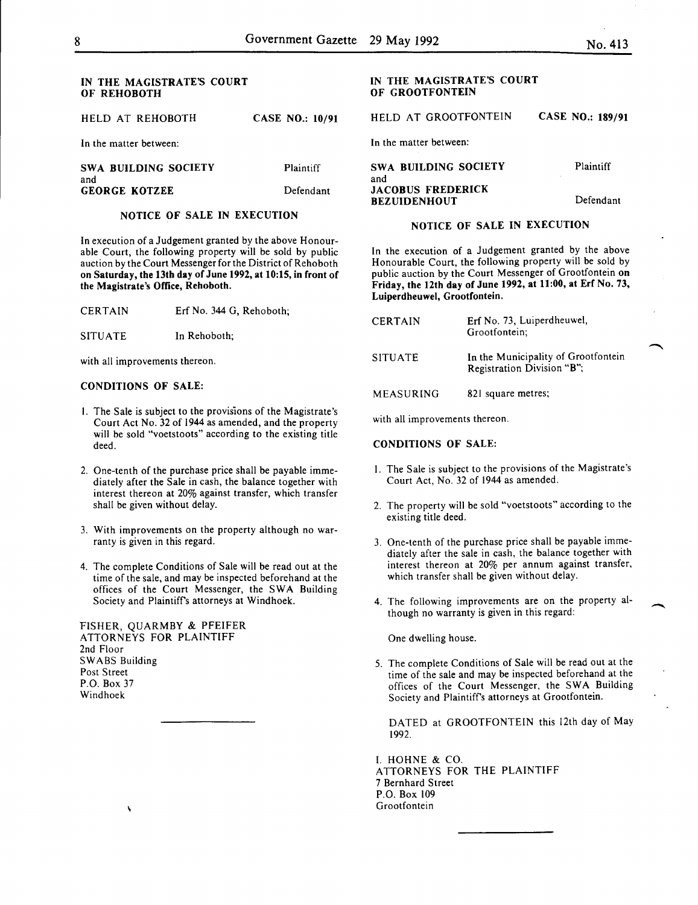#### IN THE MAGISTRATE'S COURT OF REHOBOTH

HELD AT REHOBOTH CASE NO.: 10/91

In the matter between:

SWA BUILDING SOCIETY and GEORGE KOTZEE Plaintiff Defendant

#### NOTICE OF SALE IN EXECUTION

In execution of a Judgement granted by the above Honourable Court, the following property will be sold by public auction by the Court Messenger for the District of Rehoboth on Saturday, the 13th day of June 1992, at 10:15, in front of the Magistrate's Office, Rehoboth.

CERTAIN Erf No. 344 G, Rehoboth;

SITUATE In Rehoboth;

with all improvements thereon.

#### CONDITIONS OF SALE:

- I. The Sale is subject to the provisions of the Magistrate's Court Act No. 32 of 1944 as amended, and the property will be sold "voetstoots" according to the existing title deed.
- 2. One-tenth of the purchase price shall be payable immediately after the Sale in cash, the balance together with interest thereon at 20% against transfer, which transfer shall be given without delay.
- 3. With improvements on the property although no warranty is given in this regard.
- 4. The complete Conditions of Sale will be read out at the time of the sale, and may be inspected beforehand at the offices of the Court Messenger, the SWA Building Society and Plaintiffs attorneys at Windhoek.

FISHER, QUARMBY & PFEIFER ATTORNEYS FOR PLAINTIFF 2nd Floor SWABS Building Post Street P.O. Box 37 Windhoek

ł,

# IN THE MAGISTRATE'S COURT OF GROOTFONTEIN

HELD AT GROOTFONTEIN CASE NO.: 189/91

In the matter between:

| SWA BUILDING SOCIETY     | Plaintiff |
|--------------------------|-----------|
| and                      |           |
| <b>JACOBUS FREDERICK</b> |           |
| <b>BEZUIDENHOUT</b>      | Defendant |

# NOTICE OF SALE IN EXECUTION

In the execution of a Judgement granted by the above Honourable Court, the following property will be sold by public auction by the Court Messenger of Grootfontein on Friday, the 12th day of June 1992, at 11:00, at Erf No. 73, Luiperdheuwel, Grootfontein.

| <b>CERTAIN</b> | Erf No. 73, Luiperdheuwel,<br>Grootfontein;                       |
|----------------|-------------------------------------------------------------------|
| <b>SITUATE</b> | In the Municipality of Grootfontein<br>Registration Division "B"; |
| MEASURING      | 821 square metres;                                                |

with all improvements thereon.

#### CONDITIONS OF SALE:

- I. The Sale is subject to the provisions of the Magistrate's Court Act, No. 32 of 1944 as amended.
- 2. The property will be sold "voetstoots" according to the existing title deed.
- 3. One-tenth of the purchase price shall be payable immediately after the sale in cash, the balance together with interest thereon at 20% per annum against transfer, which transfer shall be given without delay.
- 4. The following improvements are on the property although no warranty is given in this regard:

 $\overline{\phantom{a}}$ 

One dwelling house.

5. The complete Conditions of Sale will be read out at the time of the sale and may be inspected beforehand at the offices of the Court Messenger, the SWA Building Society and Plaintiffs attorneys at Grootfontein.

DATED at GROOTFONTEIN this 12th day of May 1992.

I. HOHNE & CO. ATTORNEYS FOR THE PLAINTIFF 7 Bernhard Street P.O. Box 109 Grootfontein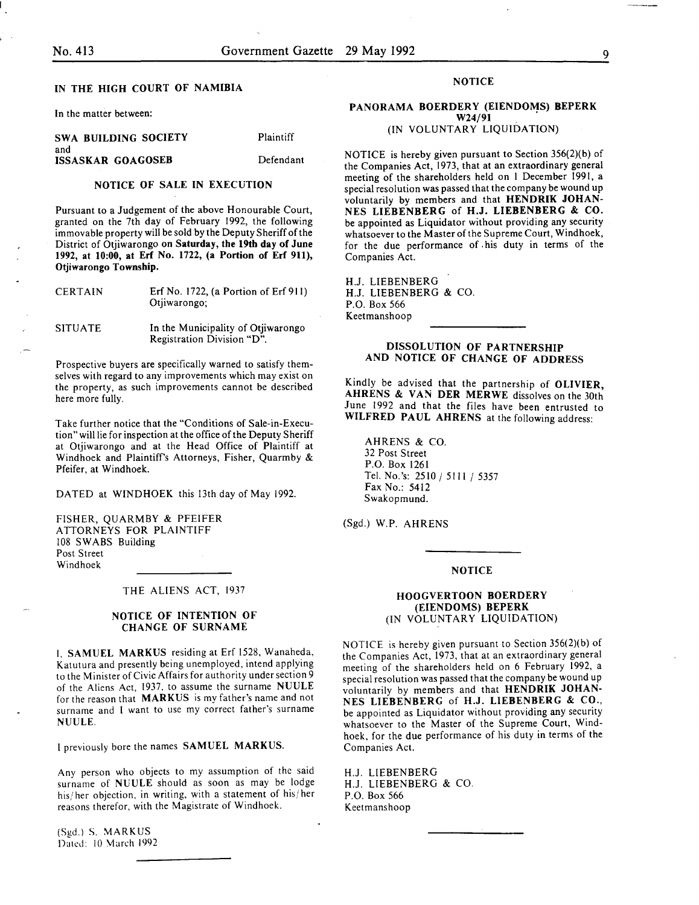and

# IN THE HIGH COURT OF NAMIBIA

In the matter between:

SWA BUILDING SOCIETY ISSASKAR GOAGOSEB

Defendant

Plaintiff

#### NOTICE OF SALE IN EXECUTION

Pursuant to a Judgement of the above Honourable Court, granted on the 7th day of February 1992, the following immovable property will be sold by the Deputy Sheriff of the District of Otjiwarongo on Saturday, the 19th day of June 1992, at 10:00, at Erf No. 1722, (a Portion of Erf 911), Otjiwarongo Township.

| <b>CERTAIN</b> | Erf No. 1722, (a Portion of $Erf$ 911)<br>Otjiwarongo;           |
|----------------|------------------------------------------------------------------|
| <b>SITUATE</b> | In the Municipality of Otjiwarongo<br>Registration Division "D". |

Prospective buyers are specifically warned to satisfy themselves with regard to any improvements which may exist on the property, as such improvements cannot be described here more fully.

Take further notice that the "Conditions of Sale-in-Execution" will lie for inspection at the office of the Deputy Sheriff at Otjiwarongo and at the Head Office of Plaintiff at Windhoek and Plaintiff's Attorneys, Fisher, Quarmby & Pfeifer, at Windhoek.

DATED at WINDHOEK this 13th day of May 1992.

FISHER, QUARMBY & PFEIFER ATTORNEYS FOR PLAINTIFF 108 SWABS Building Post Street Windhoek

THE ALIENS ACT, 1937

#### NOTICE OF INTENTION OF CHANGE OF SURNAME

I, SAMUEL MARKUS residing at Erf 1528, Wanaheda, Katutura and presently being unemployed, intend applying to the Minister of Civic Affairs for authority under section *9*  of the Aliens Act, 1937, to assume the surname NUULE for the reason that MARKUS is my father's name and not surname and I want to use my correct father's surname NUULE.

I previously bore the names SAMUEL MARKUS.

Any person who objects to my assumption of the said surname of NUULE should as soon as may be lodge his/ her objection, in writing, with a statement of his/ her reasons therefor, with the Magistrate of Windhoek.

(Sgd.) S. MARKUS Dated: 10 March 1992

#### **NOTICE**

#### PANORAMA BOERDERY (EIENDOMS) BEPERK W24/91 (IN VOLUNTARY LIQUIDATION)

NOTICE is hereby given pursuant to Section 356(2)(b) of the Companies Act, 1973, that at an extraordinary general meeting of the shareholders held on I December 1991, a special resolution was passed that the company be wound up voluntarily by members and that HENDRIK JOHAN-NES LIEBENBERG of H.J. LIEBENBERG & CO. be appointed as Liquidator without providing any security whatsoever to the Master of the Supreme Court, Windhoek, for the due performance of . his duty in terms of the Companies Act.

H.J. LIESENBERG H.J. LIESENBERG & CO. P.O. Box 566 Keetmanshoop

### DISSOLUTION OF PARTNERSHIP AND NOTICE OF CHANGE OF ADDRESS

Kindly be advised that the partnership of OLIVIER, AHRENS & VAN DER MERWE dissolves on the 30th June 1992 and that the files have been entrusted to WILFRED PAUL AHRENS at the following address:

AHRENS & CO. 32 Post Street P.O. Box 1261 Tel. No.'s: 2510 / 5111 / 5357 Fax No.: 5412 Swakopmund.

(Sgd.) W.P. AHRENS

#### NOTICE

# HOOGVERTOON BOERDERY (EIENDOMS) BEPERK (IN VOLUNTARY LIQUIDATION)

NOTICE is hereby given pursuant to Section 356(2)(b) of the Companies Act, 1973, that at an extraordinary general meeting of the shareholders held on 6 February 1992, a special resolution was passed that the company be wound up voluntarily by members and that HENDRIK JOHAN-NES LIEBENBERG of H.J. LIEBENBERG & CO., be appointed as Liquidator without providing any security whatsoever to the Master of the Supreme Court, Windhoek, for the due performance of his duty in terms of the Companies Act.

H.J. LIESENBERG H.J. LIESENBERG & CO. P.O. Box 566 Keetmanshoop